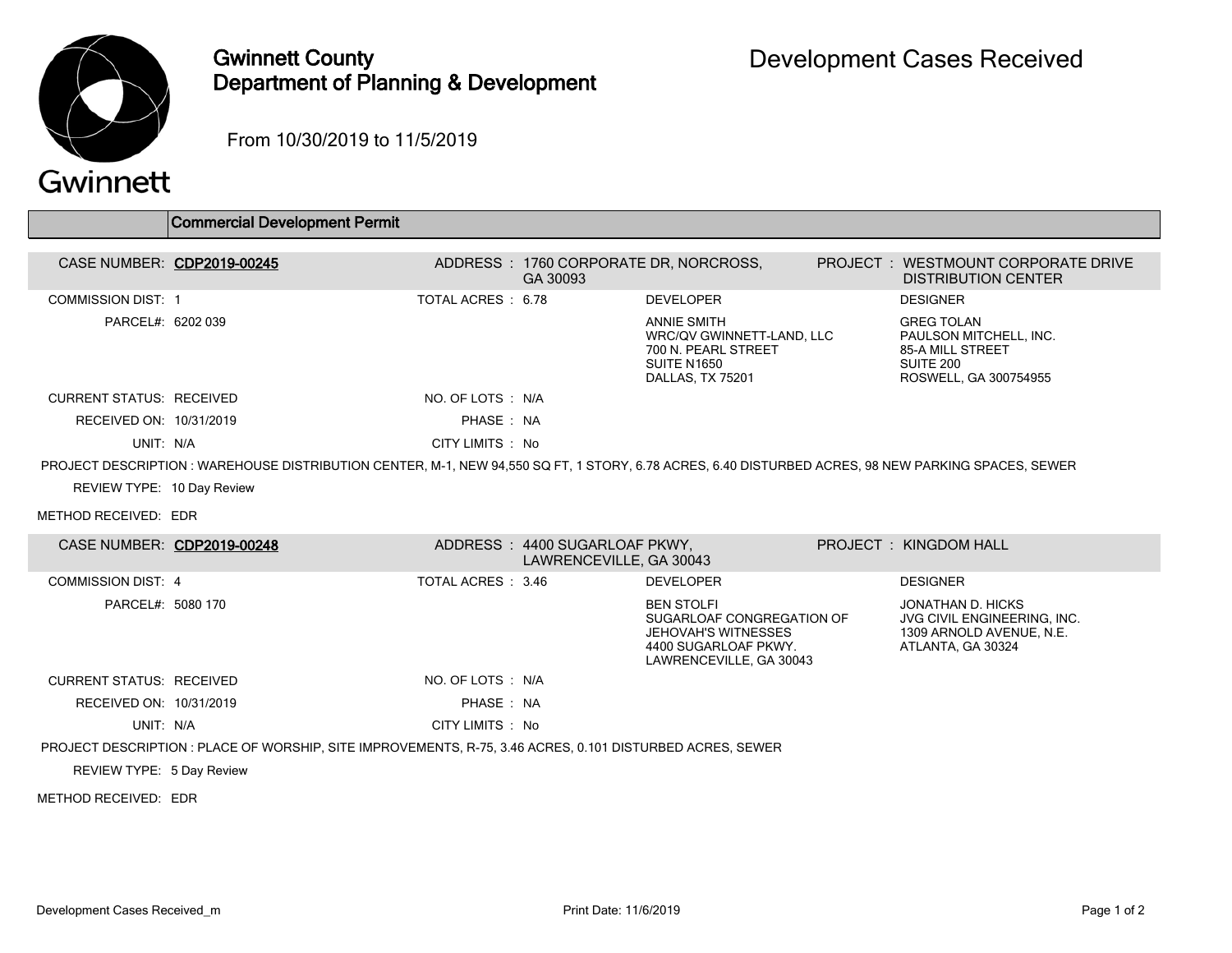

## Gwinnett County Department of Planning & Development

From 10/30/2019 to 11/5/2019

## Gwinnett

|                                 | <b>Commercial Development Permit</b>                                                                                                               |                    |                                                          |                                                                                                                                 |                                                                                                              |
|---------------------------------|----------------------------------------------------------------------------------------------------------------------------------------------------|--------------------|----------------------------------------------------------|---------------------------------------------------------------------------------------------------------------------------------|--------------------------------------------------------------------------------------------------------------|
| CASE NUMBER: CDP2019-00245      |                                                                                                                                                    |                    | GA 30093                                                 | ADDRESS : 1760 CORPORATE DR, NORCROSS,                                                                                          | PROJECT : WESTMOUNT CORPORATE DRIVE<br><b>DISTRIBUTION CENTER</b>                                            |
| <b>COMMISSION DIST: 1</b>       |                                                                                                                                                    | TOTAL ACRES: 6.78  |                                                          | <b>DEVELOPER</b>                                                                                                                | <b>DESIGNER</b>                                                                                              |
| PARCEL#: 6202 039               |                                                                                                                                                    |                    |                                                          | <b>ANNIE SMITH</b><br>WRC/QV GWINNETT-LAND, LLC<br>700 N. PEARL STREET<br><b>SUITE N1650</b><br>DALLAS, TX 75201                | <b>GREG TOLAN</b><br>PAULSON MITCHELL, INC.<br><b>85-A MILL STREET</b><br>SUITE 200<br>ROSWELL, GA 300754955 |
| <b>CURRENT STATUS: RECEIVED</b> |                                                                                                                                                    | NO. OF LOTS : N/A  |                                                          |                                                                                                                                 |                                                                                                              |
| RECEIVED ON: 10/31/2019         |                                                                                                                                                    | PHASE: NA          |                                                          |                                                                                                                                 |                                                                                                              |
| UNIT: N/A                       |                                                                                                                                                    | CITY LIMITS : No   |                                                          |                                                                                                                                 |                                                                                                              |
|                                 | PROJECT DESCRIPTION: WAREHOUSE DISTRIBUTION CENTER, M-1, NEW 94,550 SQ FT, 1 STORY, 6.78 ACRES, 6.40 DISTURBED ACRES, 98 NEW PARKING SPACES, SEWER |                    |                                                          |                                                                                                                                 |                                                                                                              |
| REVIEW TYPE: 10 Day Review      |                                                                                                                                                    |                    |                                                          |                                                                                                                                 |                                                                                                              |
| METHOD RECEIVED: EDR            |                                                                                                                                                    |                    |                                                          |                                                                                                                                 |                                                                                                              |
| CASE NUMBER: CDP2019-00248      |                                                                                                                                                    |                    | ADDRESS: 4400 SUGARLOAF PKWY,<br>LAWRENCEVILLE, GA 30043 |                                                                                                                                 | PROJECT: KINGDOM HALL                                                                                        |
| <b>COMMISSION DIST: 4</b>       |                                                                                                                                                    | TOTAL ACRES : 3.46 |                                                          | <b>DEVELOPER</b>                                                                                                                | <b>DESIGNER</b>                                                                                              |
| PARCEL#: 5080 170               |                                                                                                                                                    |                    |                                                          | <b>BEN STOLFI</b><br>SUGARLOAF CONGREGATION OF<br><b>JEHOVAH'S WITNESSES</b><br>4400 SUGARLOAF PKWY.<br>LAWRENCEVILLE, GA 30043 | JONATHAN D. HICKS<br>JVG CIVIL ENGINEERING, INC.<br>1309 ARNOLD AVENUE, N.E.<br>ATLANTA, GA 30324            |
| <b>CURRENT STATUS: RECEIVED</b> |                                                                                                                                                    | NO. OF LOTS : N/A  |                                                          |                                                                                                                                 |                                                                                                              |
| RECEIVED ON: 10/31/2019         |                                                                                                                                                    | PHASE: NA          |                                                          |                                                                                                                                 |                                                                                                              |
| UNIT: N/A                       |                                                                                                                                                    | CITY LIMITS : No   |                                                          |                                                                                                                                 |                                                                                                              |
|                                 | PROJECT DESCRIPTION : PLACE OF WORSHIP, SITE IMPROVEMENTS, R-75, 3.46 ACRES, 0.101 DISTURBED ACRES, SEWER                                          |                    |                                                          |                                                                                                                                 |                                                                                                              |
| REVIEW TYPE: 5 Day Review       |                                                                                                                                                    |                    |                                                          |                                                                                                                                 |                                                                                                              |
| METHOD RECEIVED: EDR            |                                                                                                                                                    |                    |                                                          |                                                                                                                                 |                                                                                                              |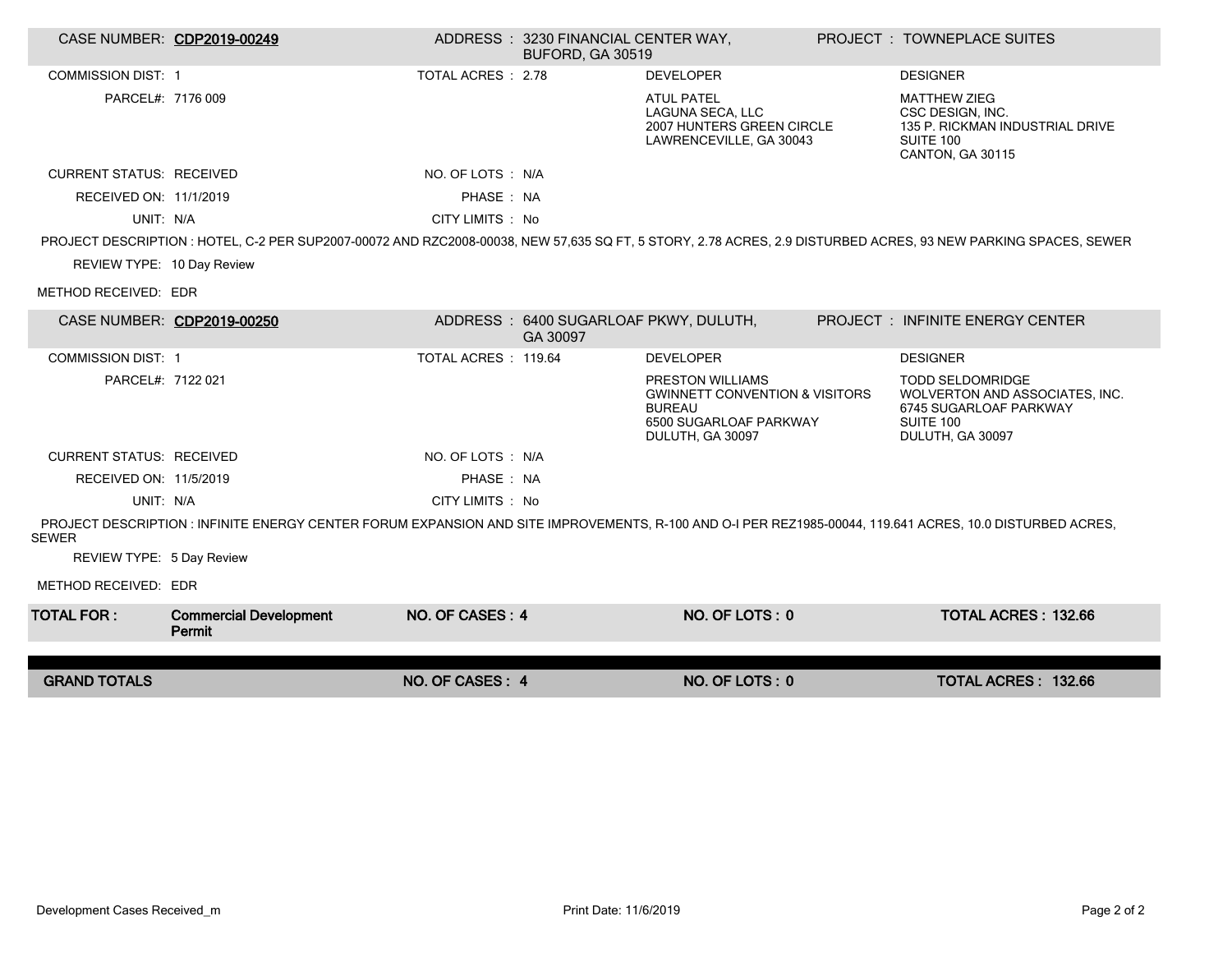| CASE NUMBER: CDP2019-00249      |                                                                                                                                                          |                     | ADDRESS: 3230 FINANCIAL CENTER WAY,<br><b>BUFORD, GA 30519</b> |                                                                                                                              | <b>PROJECT : TOWNEPLACE SUITES</b>                                                                                                                             |
|---------------------------------|----------------------------------------------------------------------------------------------------------------------------------------------------------|---------------------|----------------------------------------------------------------|------------------------------------------------------------------------------------------------------------------------------|----------------------------------------------------------------------------------------------------------------------------------------------------------------|
| <b>COMMISSION DIST: 1</b>       |                                                                                                                                                          | TOTAL ACRES: 2.78   |                                                                | <b>DEVELOPER</b>                                                                                                             | <b>DESIGNER</b>                                                                                                                                                |
| PARCEL#: 7176 009               |                                                                                                                                                          |                     |                                                                | <b>ATUL PATEL</b><br>LAGUNA SECA, LLC<br>2007 HUNTERS GREEN CIRCLE<br>LAWRENCEVILLE, GA 30043                                | <b>MATTHEW ZIEG</b><br>CSC DESIGN. INC.<br>135 P. RICKMAN INDUSTRIAL DRIVE<br>SUITE 100<br>CANTON, GA 30115                                                    |
| <b>CURRENT STATUS: RECEIVED</b> |                                                                                                                                                          | NO. OF LOTS : N/A   |                                                                |                                                                                                                              |                                                                                                                                                                |
| RECEIVED ON: 11/1/2019          |                                                                                                                                                          | PHASE: NA           |                                                                |                                                                                                                              |                                                                                                                                                                |
| UNIT: N/A                       |                                                                                                                                                          | CITY LIMITS : No    |                                                                |                                                                                                                              |                                                                                                                                                                |
|                                 |                                                                                                                                                          |                     |                                                                |                                                                                                                              | PROJECT DESCRIPTION : HOTEL, C-2 PER SUP2007-00072 AND RZC2008-00038, NEW 57,635 SQ FT, 5 STORY, 2.78 ACRES, 2.9 DISTURBED ACRES, 93 NEW PARKING SPACES, SEWER |
| REVIEW TYPE: 10 Day Review      |                                                                                                                                                          |                     |                                                                |                                                                                                                              |                                                                                                                                                                |
| METHOD RECEIVED: EDR            |                                                                                                                                                          |                     |                                                                |                                                                                                                              |                                                                                                                                                                |
|                                 | CASE NUMBER: CDP2019-00250                                                                                                                               |                     | ADDRESS: 6400 SUGARLOAF PKWY, DULUTH,<br>GA 30097              |                                                                                                                              | PROJECT : INFINITE ENERGY CENTER                                                                                                                               |
| <b>COMMISSION DIST: 1</b>       |                                                                                                                                                          | TOTAL ACRES: 119.64 |                                                                | <b>DEVELOPER</b>                                                                                                             | <b>DESIGNER</b>                                                                                                                                                |
| PARCEL#: 7122 021               |                                                                                                                                                          |                     |                                                                | PRESTON WILLIAMS<br><b>GWINNETT CONVENTION &amp; VISITORS</b><br><b>BUREAU</b><br>6500 SUGARLOAF PARKWAY<br>DULUTH, GA 30097 | <b>TODD SELDOMRIDGE</b><br>WOLVERTON AND ASSOCIATES, INC.<br>6745 SUGARLOAF PARKWAY<br>SUITE 100<br>DULUTH, GA 30097                                           |
| <b>CURRENT STATUS: RECEIVED</b> |                                                                                                                                                          | NO. OF LOTS : N/A   |                                                                |                                                                                                                              |                                                                                                                                                                |
| RECEIVED ON: 11/5/2019          |                                                                                                                                                          | PHASE: NA           |                                                                |                                                                                                                              |                                                                                                                                                                |
| UNIT: N/A                       |                                                                                                                                                          | CITY LIMITS : No    |                                                                |                                                                                                                              |                                                                                                                                                                |
| <b>SEWER</b>                    | PROJECT DESCRIPTION: INFINITE ENERGY CENTER FORUM EXPANSION AND SITE IMPROVEMENTS, R-100 AND O-I PER REZ1985-00044, 119.641 ACRES, 10.0 DISTURBED ACRES, |                     |                                                                |                                                                                                                              |                                                                                                                                                                |
| REVIEW TYPE: 5 Day Review       |                                                                                                                                                          |                     |                                                                |                                                                                                                              |                                                                                                                                                                |
| METHOD RECEIVED: EDR            |                                                                                                                                                          |                     |                                                                |                                                                                                                              |                                                                                                                                                                |
| <b>TOTAL FOR :</b>              | <b>Commercial Development</b><br>Permit                                                                                                                  | NO. OF CASES: 4     |                                                                | NO. OF LOTS: 0                                                                                                               | <b>TOTAL ACRES: 132.66</b>                                                                                                                                     |
|                                 |                                                                                                                                                          |                     |                                                                |                                                                                                                              |                                                                                                                                                                |
| <b>GRAND TOTALS</b>             |                                                                                                                                                          | NO. OF CASES: 4     |                                                                | NO. OF LOTS: 0                                                                                                               | TOTAL ACRES: 132.66                                                                                                                                            |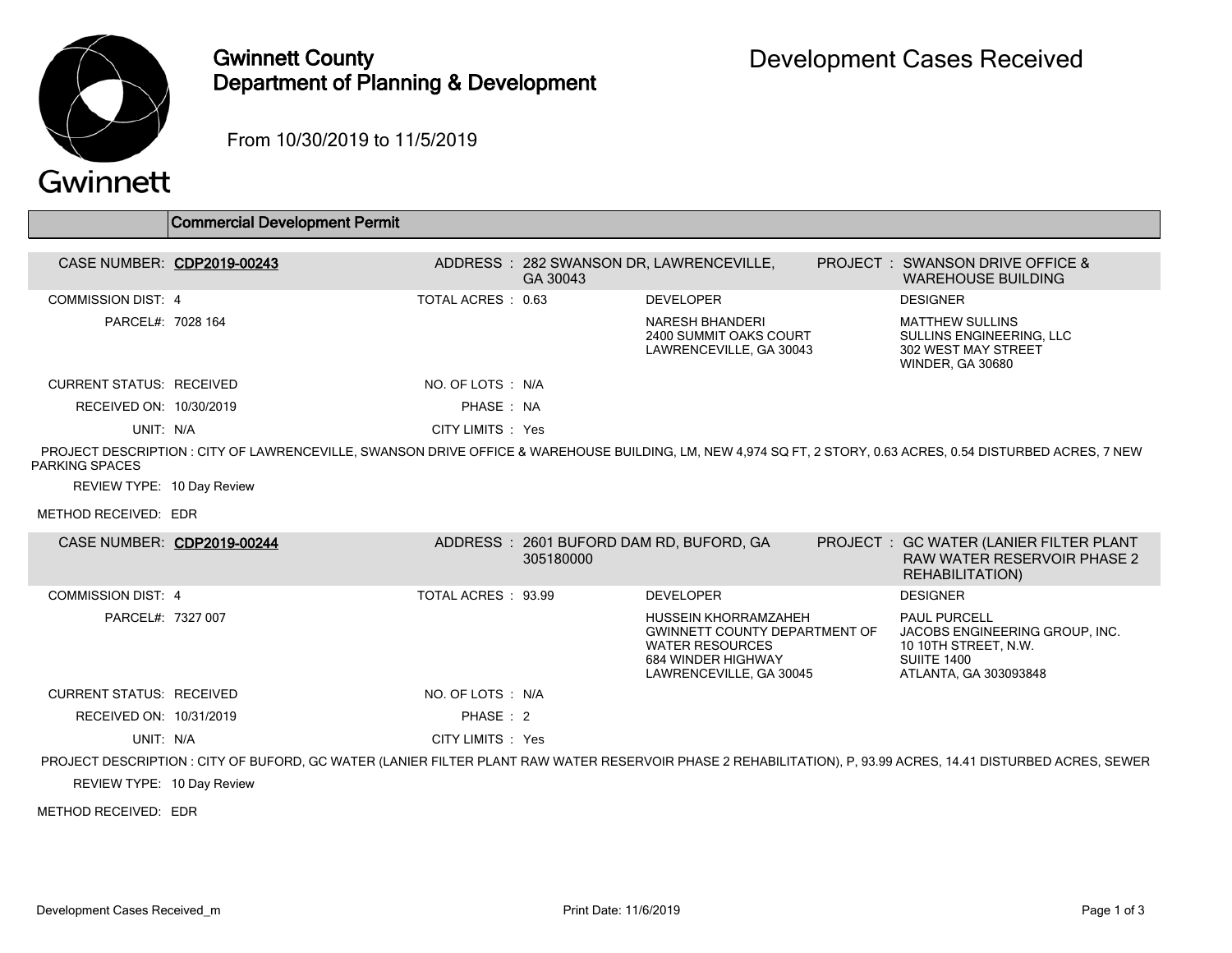

## Gwinnett County Department of Planning & Development

From 10/30/2019 to 11/5/2019

|  | Gwinnett |
|--|----------|
|  |          |

|                                                                                                                                                                                 | <b>Commercial Development Permit</b> |                    |           |                                                                                                                                         |  |                                                                                                                              |  |  |
|---------------------------------------------------------------------------------------------------------------------------------------------------------------------------------|--------------------------------------|--------------------|-----------|-----------------------------------------------------------------------------------------------------------------------------------------|--|------------------------------------------------------------------------------------------------------------------------------|--|--|
| CASE NUMBER: CDP2019-00243                                                                                                                                                      |                                      |                    | GA 30043  | ADDRESS: 282 SWANSON DR, LAWRENCEVILLE,                                                                                                 |  | PROJECT: SWANSON DRIVE OFFICE &<br><b>WAREHOUSE BUILDING</b>                                                                 |  |  |
| <b>COMMISSION DIST: 4</b>                                                                                                                                                       |                                      | TOTAL ACRES : 0.63 |           | <b>DEVELOPER</b>                                                                                                                        |  | <b>DESIGNER</b>                                                                                                              |  |  |
| PARCEL#: 7028 164                                                                                                                                                               |                                      |                    |           | <b>NARESH BHANDERI</b><br>2400 SUMMIT OAKS COURT<br>LAWRENCEVILLE, GA 30043                                                             |  | <b>MATTHEW SULLINS</b><br>SULLINS ENGINEERING, LLC<br>302 WEST MAY STREET<br><b>WINDER, GA 30680</b>                         |  |  |
| <b>CURRENT STATUS: RECEIVED</b>                                                                                                                                                 |                                      | NO. OF LOTS : N/A  |           |                                                                                                                                         |  |                                                                                                                              |  |  |
| RECEIVED ON: 10/30/2019                                                                                                                                                         |                                      | PHASE: NA          |           |                                                                                                                                         |  |                                                                                                                              |  |  |
| UNIT: N/A                                                                                                                                                                       |                                      | CITY LIMITS : Yes  |           |                                                                                                                                         |  |                                                                                                                              |  |  |
| PROJECT DESCRIPTION : CITY OF LAWRENCEVILLE, SWANSON DRIVE OFFICE & WAREHOUSE BUILDING, LM, NEW 4,974 SQ FT, 2 STORY, 0.63 ACRES, 0.54 DISTURBED ACRES, 7 NEW<br>PARKING SPACES |                                      |                    |           |                                                                                                                                         |  |                                                                                                                              |  |  |
| REVIEW TYPE: 10 Day Review                                                                                                                                                      |                                      |                    |           |                                                                                                                                         |  |                                                                                                                              |  |  |
| METHOD RECEIVED: EDR                                                                                                                                                            |                                      |                    |           |                                                                                                                                         |  |                                                                                                                              |  |  |
| CASE NUMBER: CDP2019-00244                                                                                                                                                      |                                      |                    | 305180000 | ADDRESS: 2601 BUFORD DAM RD, BUFORD, GA                                                                                                 |  | PROJECT : GC WATER (LANIER FILTER PLANT<br>RAW WATER RESERVOIR PHASE 2<br><b>REHABILITATION)</b>                             |  |  |
| <b>COMMISSION DIST: 4</b>                                                                                                                                                       |                                      | TOTAL ACRES: 93.99 |           | <b>DEVELOPER</b>                                                                                                                        |  | <b>DESIGNER</b>                                                                                                              |  |  |
| PARCEL#: 7327 007                                                                                                                                                               |                                      |                    |           | HUSSEIN KHORRAMZAHEH<br><b>GWINNETT COUNTY DEPARTMENT OF</b><br><b>WATER RESOURCES</b><br>684 WINDER HIGHWAY<br>LAWRENCEVILLE, GA 30045 |  | <b>PAUL PURCELL</b><br>JACOBS ENGINEERING GROUP, INC.<br>10 10TH STREET, N.W.<br><b>SUIITE 1400</b><br>ATLANTA, GA 303093848 |  |  |
| <b>CURRENT STATUS: RECEIVED</b>                                                                                                                                                 |                                      | NO. OF LOTS: N/A   |           |                                                                                                                                         |  |                                                                                                                              |  |  |
| RECEIVED ON: 10/31/2019                                                                                                                                                         |                                      | PHASE: 2           |           |                                                                                                                                         |  |                                                                                                                              |  |  |
| UNIT: N/A                                                                                                                                                                       |                                      | CITY LIMITS : Yes  |           |                                                                                                                                         |  |                                                                                                                              |  |  |

PROJECT DESCRIPTION : CITY OF BUFORD, GC WATER (LANIER FILTER PLANT RAW WATER RESERVOIR PHASE 2 REHABILITATION), P, 93.99 ACRES, 14.41 DISTURBED ACRES, SEWER

REVIEW TYPE: 10 Day Review

METHOD RECEIVED: EDR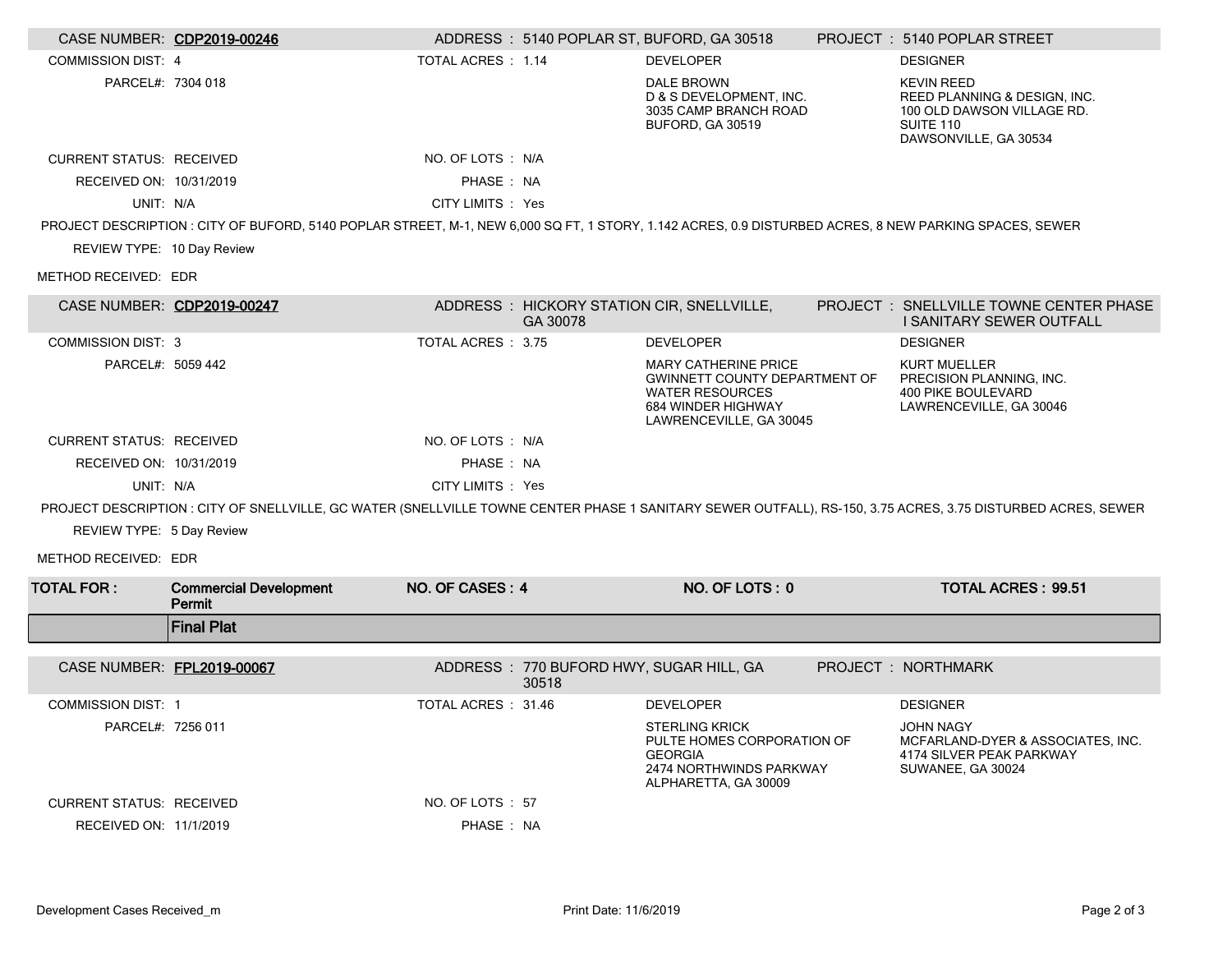|                                 | CASE NUMBER: CDP2019-00246                                                                                                                             |                    |          | ADDRESS: 5140 POPLAR ST, BUFORD, GA 30518                                                                                               | PROJECT: 5140 POPLAR STREET                                                                                                                                  |
|---------------------------------|--------------------------------------------------------------------------------------------------------------------------------------------------------|--------------------|----------|-----------------------------------------------------------------------------------------------------------------------------------------|--------------------------------------------------------------------------------------------------------------------------------------------------------------|
| <b>COMMISSION DIST: 4</b>       |                                                                                                                                                        | TOTAL ACRES: 1.14  |          | <b>DEVELOPER</b>                                                                                                                        | <b>DESIGNER</b>                                                                                                                                              |
| PARCEL#: 7304 018               |                                                                                                                                                        |                    |          | DALE BROWN<br>D & S DEVELOPMENT, INC.<br>3035 CAMP BRANCH ROAD<br>BUFORD, GA 30519                                                      | <b>KEVIN REED</b><br>REED PLANNING & DESIGN, INC.<br>100 OLD DAWSON VILLAGE RD.<br>SUITE 110<br>DAWSONVILLE, GA 30534                                        |
| <b>CURRENT STATUS: RECEIVED</b> |                                                                                                                                                        | NO. OF LOTS : N/A  |          |                                                                                                                                         |                                                                                                                                                              |
| RECEIVED ON: 10/31/2019         |                                                                                                                                                        | PHASE: NA          |          |                                                                                                                                         |                                                                                                                                                              |
| UNIT: N/A                       |                                                                                                                                                        | CITY LIMITS : Yes  |          |                                                                                                                                         |                                                                                                                                                              |
|                                 | PROJECT DESCRIPTION : CITY OF BUFORD, 5140 POPLAR STREET, M-1, NEW 6,000 SQ FT, 1 STORY, 1.142 ACRES, 0.9 DISTURBED ACRES, 8 NEW PARKING SPACES, SEWER |                    |          |                                                                                                                                         |                                                                                                                                                              |
| REVIEW TYPE: 10 Day Review      |                                                                                                                                                        |                    |          |                                                                                                                                         |                                                                                                                                                              |
| METHOD RECEIVED: EDR            |                                                                                                                                                        |                    |          |                                                                                                                                         |                                                                                                                                                              |
| CASE NUMBER: CDP2019-00247      |                                                                                                                                                        |                    | GA 30078 | ADDRESS: HICKORY STATION CIR, SNELLVILLE,                                                                                               | PROJECT : SNELLVILLE TOWNE CENTER PHASE<br>I SANITARY SEWER OUTFALL                                                                                          |
| <b>COMMISSION DIST: 3</b>       |                                                                                                                                                        | TOTAL ACRES : 3.75 |          | <b>DEVELOPER</b>                                                                                                                        | <b>DESIGNER</b>                                                                                                                                              |
| PARCEL#: 5059 442               |                                                                                                                                                        |                    |          | <b>MARY CATHERINE PRICE</b><br>GWINNETT COUNTY DEPARTMENT OF<br><b>WATER RESOURCES</b><br>684 WINDER HIGHWAY<br>LAWRENCEVILLE, GA 30045 | <b>KURT MUELLER</b><br>PRECISION PLANNING, INC.<br>400 PIKE BOULEVARD<br>LAWRENCEVILLE, GA 30046                                                             |
| <b>CURRENT STATUS: RECEIVED</b> |                                                                                                                                                        | NO. OF LOTS : N/A  |          |                                                                                                                                         |                                                                                                                                                              |
| RECEIVED ON: 10/31/2019         |                                                                                                                                                        | PHASE: NA          |          |                                                                                                                                         |                                                                                                                                                              |
| UNIT: N/A                       |                                                                                                                                                        | CITY LIMITS : Yes  |          |                                                                                                                                         |                                                                                                                                                              |
|                                 |                                                                                                                                                        |                    |          |                                                                                                                                         | PROJECT DESCRIPTION : CITY OF SNELLVILLE, GC WATER (SNELLVILLE TOWNE CENTER PHASE 1 SANITARY SEWER OUTFALL), RS-150, 3.75 ACRES, 3.75 DISTURBED ACRES, SEWER |
| REVIEW TYPE: 5 Day Review       |                                                                                                                                                        |                    |          |                                                                                                                                         |                                                                                                                                                              |
| METHOD RECEIVED: EDR            |                                                                                                                                                        |                    |          |                                                                                                                                         |                                                                                                                                                              |
| <b>TOTAL FOR:</b>               | <b>Commercial Development</b><br>Permit                                                                                                                | NO. OF CASES: 4    |          | NO. OF LOTS: 0                                                                                                                          | <b>TOTAL ACRES: 99.51</b>                                                                                                                                    |
|                                 | <b>Final Plat</b>                                                                                                                                      |                    |          |                                                                                                                                         |                                                                                                                                                              |
| CASE NUMBER: FPL2019-00067      |                                                                                                                                                        |                    | 30518    | ADDRESS: 770 BUFORD HWY, SUGAR HILL, GA                                                                                                 | PROJECT : NORTHMARK                                                                                                                                          |
| <b>COMMISSION DIST: 1</b>       |                                                                                                                                                        | TOTAL ACRES: 31.46 |          | <b>DEVELOPER</b>                                                                                                                        | <b>DESIGNER</b>                                                                                                                                              |
| PARCEL#: 7256 011               |                                                                                                                                                        |                    |          | <b>STERLING KRICK</b><br>PULTE HOMES CORPORATION OF<br><b>GEORGIA</b><br>2474 NORTHWINDS PARKWAY<br>ALPHARETTA, GA 30009                | JOHN NAGY<br>MCFARLAND-DYER & ASSOCIATES, INC.<br>4174 SILVER PEAK PARKWAY<br>SUWANEE, GA 30024                                                              |
| <b>CURRENT STATUS: RECEIVED</b> |                                                                                                                                                        | NO. OF LOTS : 57   |          |                                                                                                                                         |                                                                                                                                                              |
| RECEIVED ON: 11/1/2019          |                                                                                                                                                        | PHASE : NA         |          |                                                                                                                                         |                                                                                                                                                              |